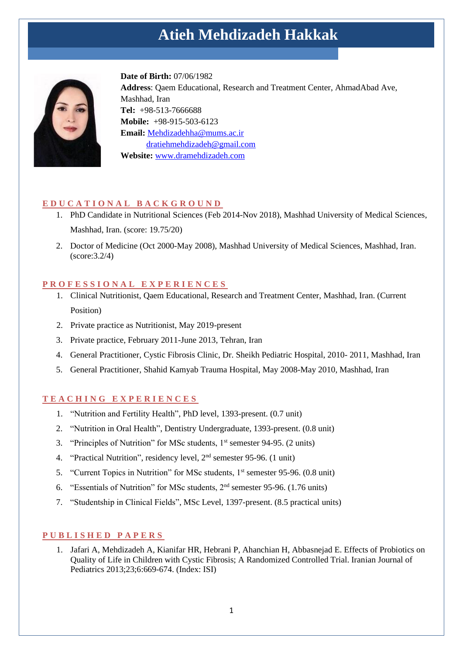# **Atieh Mehdizadeh Hakkak**



**Date of Birth:** 07/06/1982 **Address**: Qaem Educational, Research and Treatment Center, AhmadAbad Ave, Mashhad, Iran **Tel:** +98-513-7666688 **Mobile:** +98-915-503-6123 **Email:** Mehdizadehha@mums.ac.ir [dratiehmehdizadeh@gmail.com](mailto:dratiehmehdizadeh@gmail.com) **Website:** [www.dramehdizadeh.com](http://www.dramehdizadeh.com/)

## **E D U C A T I O N A L B A C K G R O U N D**

- 1. PhD Candidate in Nutritional Sciences (Feb 2014-Nov 2018), Mashhad University of Medical Sciences, Mashhad, Iran. (score: 19.75/20)
- 2. Doctor of Medicine (Oct 2000-May 2008), Mashhad University of Medical Sciences, Mashhad, Iran. (score:3.2/4)

## **P R O F E S S I O N A L E X P E R I E N C E S**

- 1. Clinical Nutritionist, Qaem Educational, Research and Treatment Center, Mashhad, Iran. (Current Position)
- 2. Private practice as Nutritionist, May 2019-present
- 3. Private practice, February 2011-June 2013, Tehran, Iran
- 4. General Practitioner, Cystic Fibrosis Clinic, Dr. Sheikh Pediatric Hospital, 2010- 2011, Mashhad, Iran
- 5. General Practitioner, Shahid Kamyab Trauma Hospital, May 2008-May 2010, Mashhad, Iran

## **T E A C H I N G E X P E R I E N C E S**

- 1. "Nutrition and Fertility Health", PhD level, 1393-present. (0.7 unit)
- 2. "Nutrition in Oral Health", Dentistry Undergraduate, 1393-present. (0.8 unit)
- 3. "Principles of Nutrition" for MSc students,  $1<sup>st</sup>$  semester 94-95. (2 units)
- 4. "Practical Nutrition", residency level, 2nd semester 95-96. (1 unit)
- 5. "Current Topics in Nutrition" for MSc students, 1<sup>st</sup> semester 95-96. (0.8 unit)
- 6. "Essentials of Nutrition" for MSc students, 2nd semester 95-96. (1.76 units)
- 7. "Studentship in Clinical Fields", MSc Level, 1397-present. (8.5 practical units)

# **P U B L I S H E D P A P E R S**

1. Jafari A, Mehdizadeh A, Kianifar HR, Hebrani P, Ahanchian H, Abbasnejad E. Effects of Probiotics on Quality of Life in Children with Cystic Fibrosis; A Randomized Controlled Trial. Iranian Journal of Pediatrics 2013;23;6:669-674. (Index: ISI)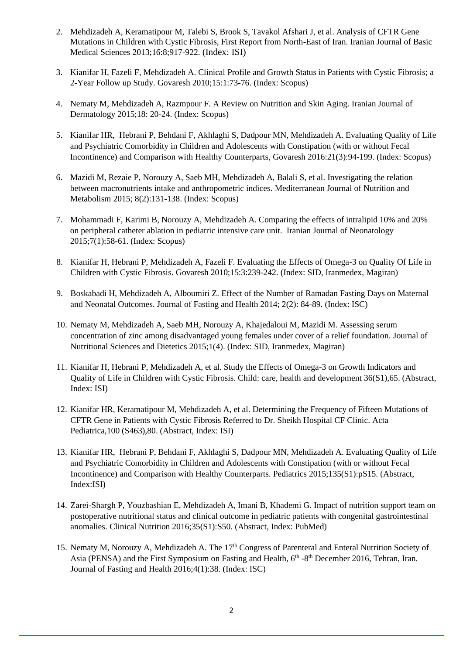- 2. Mehdizadeh A, Keramatipour M, Talebi S, Brook S, Tavakol Afshari J, et al. Analysis of CFTR Gene Mutations in Children with Cystic Fibrosis, First Report from North-East of Iran. Iranian Journal of Basic Medical Sciences 2013;16:8;917-922. (Index: ISI)
- 3. Kianifar H, Fazeli F, Mehdizadeh A. Clinical Profile and Growth Status in Patients with Cystic Fibrosis; a 2-Year Follow up Study. Govaresh 2010;15:1:73-76. (Index: Scopus)
- 4. Nematy M, Mehdizadeh A, Razmpour F. A Review on Nutrition and Skin Aging. Iranian Journal of Dermatology 2015;18: 20-24. (Index: Scopus)
- 5. Kianifar HR, [Hebrani](http://pediatrics.aappublications.org/search?author1=Paria+Hebrani&sortspec=date&submit=Submit) P, Behdani F, [Akhlaghi](http://pediatrics.aappublications.org/search?author1=Saeed+Akhlaghi&sortspec=date&submit=Submit) S, [Dadpour](http://pediatrics.aappublications.org/search?author1=Mohammad+Naser+Dadpour&sortspec=date&submit=Submit) MN[, Mehdizadeh](http://pediatrics.aappublications.org/search?author1=Atieh+H.+Mehdizadeh&sortspec=date&submit=Submit) A. Evaluating Quality of Life and Psychiatric Comorbidity in Children and Adolescents with Constipation (with or without Fecal Incontinence) and Comparison with Healthy Counterparts, Govaresh 2016:21(3):94-199. (Index: Scopus)
- 6. Mazidi M, Rezaie P, Norouzy A, Saeb MH, Mehdizadeh A, Balali S, et al. Investigating the relation between macronutrients intake and anthropometric indices. [Mediterranean Journal of Nutrition and](http://content.iospress.com/journals/mediterranean-journal-of-nutrition-and-metabolism)  [Metabolism](http://content.iospress.com/journals/mediterranean-journal-of-nutrition-and-metabolism) 2015; 8(2):131-138. (Index: Scopus)
- 7. Mohammadi F, Karimi B, Norouzy A, Mehdizadeh A. Comparing the effects of intralipid 10% and 20% on peripheral catheter ablation in pediatric intensive care unit. Iranian Journal of Neonatology 2015;7(1):58-61. (Index: Scopus)
- 8. Kianifar H, Hebrani P, Mehdizadeh A, Fazeli F. Evaluating the Effects of Omega-3 on Quality Of Life in Children with Cystic Fibrosis. Govaresh 2010;15:3:239-242. (Index: SID, Iranmedex, Magiran)
- 9. Boskabadi H, Mehdizadeh A, Alboumiri Z. Effect of the Number of Ramadan Fasting Days on Maternal and Neonatal Outcomes. Journal of Fasting and Health 2014; 2(2): 84-89. (Index: ISC)
- 10. Nematy M, Mehdizadeh A, Saeb MH, Norouzy A, Khajedaloui M, Mazidi M. Assessing serum concentration of zinc among disadvantaged young females under cover of a relief foundation. Journal of Nutritional Sciences and Dietetics 2015;1(4) . (Index: SID, Iranmedex, Magiran)
- 11. Kianifar H, Hebrani P, Mehdizadeh A, et al. Study the Effects of Omega-3 on Growth Indicators and Quality of Life in Children with Cystic Fibrosis. Child: care, health and development 36(S1),65. (Abstract, Index: ISI)
- 12. Kianifar HR, Keramatipour M, Mehdizadeh A, et al. Determining the Frequency of Fifteen Mutations of CFTR Gene in Patients with Cystic Fibrosis Referred to Dr. Sheikh Hospital CF Clinic. Acta Pediatrica,100 (S463),80. (Abstract, Index: ISI)
- 13. Kianifar HR[, Hebrani](http://pediatrics.aappublications.org/search?author1=Paria+Hebrani&sortspec=date&submit=Submit) P, Behdani F, [Akhlaghi](http://pediatrics.aappublications.org/search?author1=Saeed+Akhlaghi&sortspec=date&submit=Submit) S, [Dadpour](http://pediatrics.aappublications.org/search?author1=Mohammad+Naser+Dadpour&sortspec=date&submit=Submit) MN, [Mehdizadeh](http://pediatrics.aappublications.org/search?author1=Atieh+H.+Mehdizadeh&sortspec=date&submit=Submit) A. Evaluating Quality of Life and Psychiatric Comorbidity in Children and Adolescents with Constipation (with or without Fecal Incontinence) and Comparison with Healthy Counterparts. Pediatrics 2015;135(S1):pS15. (Abstract, Index:ISI)
- 14. Zarei-Shargh P, Youzbashian E, Mehdizadeh A, Imani B, Khademi G. Impact of nutrition support team on postoperative nutritional status and clinical outcome in pediatric patients with congenital gastrointestinal anomalies. Clinical Nutrition 2016;35(S1):S50. (Abstract, Index: PubMed)
- 15. Nematy M, Norouzy A, Mehdizadeh A. The 17<sup>th</sup> Congress of Parenteral and Enteral Nutrition Society of Asia (PENSA) and the First Symposium on Fasting and Health, 6<sup>th</sup> -8<sup>th</sup> December 2016, Tehran, Iran. Journal of Fasting and Health 2016;4(1):38. (Index: ISC)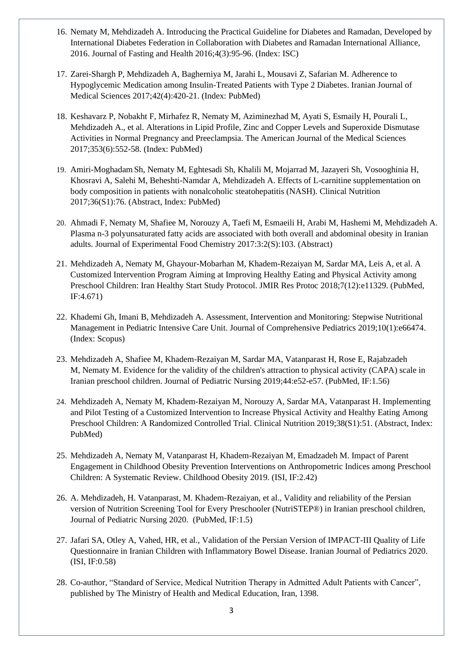- 16. Nematy M, Mehdizadeh A. Introducing the Practical Guideline for Diabetes and Ramadan, Developed by International Diabetes Federation in Collaboration with Diabetes and Ramadan International Alliance, 2016. Journal of Fasting and Health 2016;4(3):95-96. (Index: ISC)
- 17. Zarei-Shargh P, Mehdizadeh A, Bagherniya M, Jarahi L, Mousavi Z, Safarian M. Adherence to Hypoglycemic Medication among Insulin-Treated Patients with Type 2 Diabetes. Iranian Journal of Medical Sciences 2017;42(4):420-21. (Index: PubMed)
- 18. Keshavarz P, Nobakht F, Mirhafez R, Nematy M, Aziminezhad M, Ayati S, Esmaily H, Pourali L, Mehdizadeh A., et al. Alterations in Lipid Profile, Zinc and Copper Levels and Superoxide Dismutase Activities in Normal Pregnancy and Preeclampsia. The American Journal of the Medical Sciences 2017;353(6):552-58. (Index: PubMed)
- 19. Amiri-Moghadam Sh, Nematy M, Eghtesadi Sh, Khalili M, Mojarrad M, Jazayeri Sh, Vosooghinia H, Khosravi A, Salehi M, Beheshti-Namdar A, Mehdizadeh A. Effects of L-carnitine supplementation on body composition in patients with nonalcoholic steatohepatitis (NASH). Clinical Nutrition 2017;36(S1):76. (Abstract, Index: PubMed)
- 20. Ahmadi F, Nematy M, Shafiee M, Norouzy A, Taefi M, Esmaeili H, Arabi M, Hashemi M, Mehdizadeh A. Plasma n-3 polyunsaturated fatty acids are associated with both overall and abdominal obesity in Iranian adults. Journal of Experimental Food Chemistry 2017:3:2(S):103. (Abstract)
- 21. Mehdizadeh A, Nematy M, Ghayour-Mobarhan M, Khadem-Rezaiyan M, Sardar MA, Leis A, et al. A Customized Intervention Program Aiming at Improving Healthy Eating and Physical Activity among Preschool Children: Iran Healthy Start Study Protocol. JMIR Res Protoc 2018;7(12):e11329. (PubMed, IF:4.671)
- 22. Khademi Gh, Imani B, Mehdizadeh A. Assessment, Intervention and Monitoring: Stepwise Nutritional Management in Pediatric Intensive Care Unit. Journal of Comprehensive Pediatrics 2019;10(1):e66474. (Index: Scopus)
- 23. [Mehdizadeh A,](https://www.ncbi.nlm.nih.gov/pubmed/?term=Mehdizadeh%20A%5BAuthor%5D&cauthor=true&cauthor_uid=30414753) [Shafiee M,](https://www.ncbi.nlm.nih.gov/pubmed/?term=Shafiee%20M%5BAuthor%5D&cauthor=true&cauthor_uid=30414753) [Khadem-Rezaiyan M,](https://www.ncbi.nlm.nih.gov/pubmed/?term=Khadem-Rezaiyan%20M%5BAuthor%5D&cauthor=true&cauthor_uid=30414753) [Sardar MA,](https://www.ncbi.nlm.nih.gov/pubmed/?term=Sardar%20MA%5BAuthor%5D&cauthor=true&cauthor_uid=30414753) [Vatanparast H,](https://www.ncbi.nlm.nih.gov/pubmed/?term=Vatanparast%20H%5BAuthor%5D&cauthor=true&cauthor_uid=30414753) [Rose E,](https://www.ncbi.nlm.nih.gov/pubmed/?term=Rose%20E%5BAuthor%5D&cauthor=true&cauthor_uid=30414753) [Rajabzadeh](https://www.ncbi.nlm.nih.gov/pubmed/?term=Rajabzadeh%20M%5BAuthor%5D&cauthor=true&cauthor_uid=30414753)  [M,](https://www.ncbi.nlm.nih.gov/pubmed/?term=Rajabzadeh%20M%5BAuthor%5D&cauthor=true&cauthor_uid=30414753) [Nematy M.](https://www.ncbi.nlm.nih.gov/pubmed/?term=Nematy%20M%5BAuthor%5D&cauthor=true&cauthor_uid=30414753) Evidence for the validity of the children's attraction to physical activity (CAPA) scale in Iranian preschool children. [Journal of](https://www.ncbi.nlm.nih.gov/pubmed/30414753) Pediatric Nursing 2019;44:e52-e57. (PubMed, IF:1.56)
- 24. [Mehdizadeh A,](javascript:void(0);) Nematy M, [Khadem-Rezaiyan](javascript:void(0);) M, [Norouzy](javascript:void(0);) A, Sardar MA, [Vatanparast](javascript:void(0);) H. Implementing and Pilot Testing of a Customized Intervention to Increase Physical Activity and Healthy Eating Among Preschool Children: A Randomized Controlled Trial. Clinical Nutrition 2019;38(S1):51. (Abstract, Index: PubMed)
- 25. [Mehdizadeh A,](https://www.ncbi.nlm.nih.gov/pubmed/?term=Mehdizadeh%20A%5BAuthor%5D&cauthor=true&cauthor_uid=31479311) [Nematy M,](https://www.ncbi.nlm.nih.gov/pubmed/?term=Nematy%20M%5BAuthor%5D&cauthor=true&cauthor_uid=31479311) [Vatanparast H,](https://www.ncbi.nlm.nih.gov/pubmed/?term=Vatanparast%20H%5BAuthor%5D&cauthor=true&cauthor_uid=31479311) [Khadem-Rezaiyan M,](https://www.ncbi.nlm.nih.gov/pubmed/?term=Khadem-Rezaiyan%20M%5BAuthor%5D&cauthor=true&cauthor_uid=31479311) [Emadzadeh M.](https://www.ncbi.nlm.nih.gov/pubmed/?term=Emadzadeh%20M%5BAuthor%5D&cauthor=true&cauthor_uid=31479311) [Impact of Parent](https://www.researchgate.net/publication/335597593_Impact_of_Parent_Engagement_in_Childhood_Obesity_Prevention_Interventions_on_Anthropometric_Indices_among_Preschool_Children_A_Systematic_Review)  [Engagement in Childhood Obesity Prevention Interventions on Anthropometric Indices among Preschool](https://www.researchgate.net/publication/335597593_Impact_of_Parent_Engagement_in_Childhood_Obesity_Prevention_Interventions_on_Anthropometric_Indices_among_Preschool_Children_A_Systematic_Review)  [Children: A Systematic Review.](https://www.researchgate.net/publication/335597593_Impact_of_Parent_Engagement_in_Childhood_Obesity_Prevention_Interventions_on_Anthropometric_Indices_among_Preschool_Children_A_Systematic_Review) [Childhood](https://www.ncbi.nlm.nih.gov/pubmed/?term=Impact+of+Parent+Engagement+in+Childhood+Obesity+Prevention+Interventions+on+Anthropometric+Indices+among+Preschool+Children%3A+A+Systematic+Review) Obesity 2019. (ISI, IF:2.42)
- 26. A. Mehdizadeh, H. Vatanparast, M. Khadem-Rezaiyan, et al., Validity and reliability of the Persian version of Nutrition Screening Tool for Every Preschooler (NutriSTEP®) in Iranian preschool children, Journal of Pediatric Nursing 2020. (PubMed, IF:1.5)
- 27. Jafari SA, Otley A, Vahed, HR, et al., Validation of the Persian Version of IMPACT-III Quality of Life Questionnaire in Iranian Children with Inflammatory Bowel Disease. Iranian Journal of Pediatrics 2020. (ISI, IF:0.58)
- 28. Co-author, "Standard of Service, Medical Nutrition Therapy in Admitted Adult Patients with Cancer", published by The Ministry of Health and Medical Education, Iran, 1398.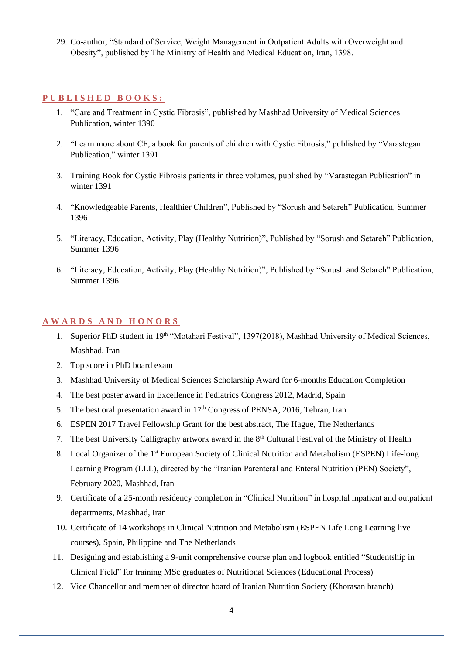29. Co-author, "Standard of Service, Weight Management in Outpatient Adults with Overweight and Obesity", published by The Ministry of Health and Medical Education, Iran, 1398.

#### **P U B L I S H E D B O O K S :**

- 1. "Care and Treatment in Cystic Fibrosis", published by Mashhad University of Medical Sciences Publication, winter 1390
- 2. "Learn more about CF, a book for parents of children with Cystic Fibrosis," published by "Varastegan Publication," winter 1391
- 3. Training Book for Cystic Fibrosis patients in three volumes, published by "Varastegan Publication" in winter 1391
- 4. "Knowledgeable Parents, Healthier Children", Published by "Sorush and Setareh" Publication, Summer 1396
- 5. "Literacy, Education, Activity, Play (Healthy Nutrition)", Published by "Sorush and Setareh" Publication, Summer 1396
- 6. "Literacy, Education, Activity, Play (Healthy Nutrition)", Published by "Sorush and Setareh" Publication, Summer 1396

#### **A W A R D S A N D H O N O R S**

- 1. Superior PhD student in 19<sup>th</sup> "Motahari Festival", 1397(2018), Mashhad University of Medical Sciences, Mashhad, Iran
- 2. Top score in PhD board exam
- 3. Mashhad University of Medical Sciences Scholarship Award for 6-months Education Completion
- 4. The best poster award in Excellence in Pediatrics Congress 2012, Madrid, Spain
- 5. The best oral presentation award in 17<sup>th</sup> Congress of PENSA, 2016, Tehran, Iran
- 6. ESPEN 2017 Travel Fellowship Grant for the best abstract, The Hague, The Netherlands
- 7. The best University Calligraphy artwork award in the 8<sup>th</sup> Cultural Festival of the Ministry of Health
- 8. Local Organizer of the 1<sup>st</sup> European Society of Clinical Nutrition and Metabolism (ESPEN) Life-long Learning Program (LLL), directed by the "Iranian Parenteral and Enteral Nutrition (PEN) Society", February 2020, Mashhad, Iran
- 9. Certificate of a 25-month residency completion in "Clinical Nutrition" in hospital inpatient and outpatient departments, Mashhad, Iran
- 10. Certificate of 14 workshops in Clinical Nutrition and Metabolism (ESPEN Life Long Learning live courses), Spain, Philippine and The Netherlands
- 11. Designing and establishing a 9-unit comprehensive course plan and logbook entitled "Studentship in Clinical Field" for training MSc graduates of Nutritional Sciences (Educational Process)
- 12. Vice Chancellor and member of director board of Iranian Nutrition Society (Khorasan branch)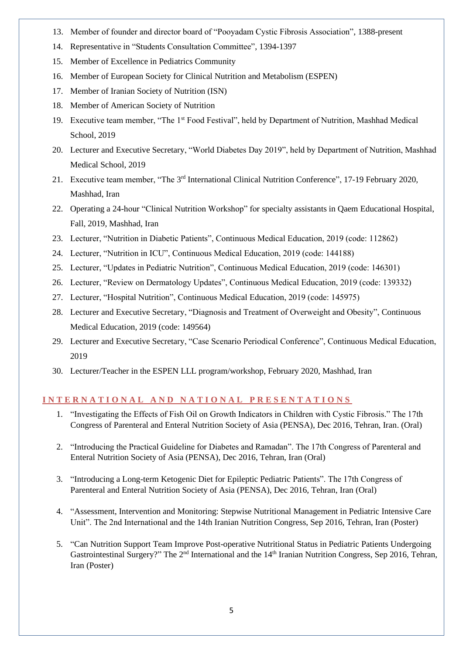- 13. Member of founder and director board of "Pooyadam Cystic Fibrosis Association", 1388-present
- 14. Representative in "Students Consultation Committee", 1394-1397
- 15. Member of Excellence in Pediatrics Community
- 16. Member of European Society for Clinical Nutrition and Metabolism (ESPEN)
- 17. Member of Iranian Society of Nutrition (ISN)
- 18. Member of American Society of Nutrition
- 19. Executive team member, "The 1st Food Festival", held by Department of Nutrition, Mashhad Medical School, 2019
- 20. Lecturer and Executive Secretary, "World Diabetes Day 2019", held by Department of Nutrition, Mashhad Medical School, 2019
- 21. Executive team member, "The 3<sup>rd</sup> International Clinical Nutrition Conference", 17-19 February 2020, Mashhad, Iran
- 22. Operating a 24-hour "Clinical Nutrition Workshop" for specialty assistants in Qaem Educational Hospital, Fall, 2019, Mashhad, Iran
- 23. Lecturer, "Nutrition in Diabetic Patients", Continuous Medical Education, 2019 (code: 112862)
- 24. Lecturer, "Nutrition in ICU", Continuous Medical Education, 2019 (code: 144188)
- 25. Lecturer, "Updates in Pediatric Nutrition", Continuous Medical Education, 2019 (code: 146301)
- 26. Lecturer, "Review on Dermatology Updates", Continuous Medical Education, 2019 (code: 139332)
- 27. Lecturer, "Hospital Nutrition", Continuous Medical Education, 2019 (code: 145975)
- 28. Lecturer and Executive Secretary, "Diagnosis and Treatment of Overweight and Obesity", Continuous Medical Education, 2019 (code: 149564)
- 29. Lecturer and Executive Secretary, "Case Scenario Periodical Conference", Continuous Medical Education, 2019
- 30. Lecturer/Teacher in the ESPEN LLL program/workshop, February 2020, Mashhad, Iran

## **I N T E R N A T I O N A L A N D N A T I O N A L P R E S E N T A T I O N S**

- 1. "Investigating the Effects of Fish Oil on Growth Indicators in Children with Cystic Fibrosis." The 17th Congress of Parenteral and Enteral Nutrition Society of Asia (PENSA), Dec 2016, Tehran, Iran. (Oral)
- 2. "Introducing the Practical Guideline for Diabetes and Ramadan". The 17th Congress of Parenteral and Enteral Nutrition Society of Asia (PENSA), Dec 2016, Tehran, Iran (Oral)
- 3. "Introducing a Long-term Ketogenic Diet for Epileptic Pediatric Patients". The 17th Congress of Parenteral and Enteral Nutrition Society of Asia (PENSA), Dec 2016, Tehran, Iran (Oral)
- 4. "Assessment, Intervention and Monitoring: Stepwise Nutritional Management in Pediatric Intensive Care Unit". The 2nd International and the 14th Iranian Nutrition Congress, Sep 2016, Tehran, Iran (Poster)
- 5. ["Can Nutrition Support Team Improve Post-operative Nutritional Status in Pediatric Patients Undergoing](http://research.mums.ac.ir/webdocument/load.action?webdocument_code=3000&masterCode=8024334)  [Gastrointestinal Surgery?"](http://research.mums.ac.ir/webdocument/load.action?webdocument_code=3000&masterCode=8024334) The 2<sup>nd</sup> International and the 14<sup>th</sup> Iranian Nutrition Congress, Sep 2016, Tehran, Iran (Poster)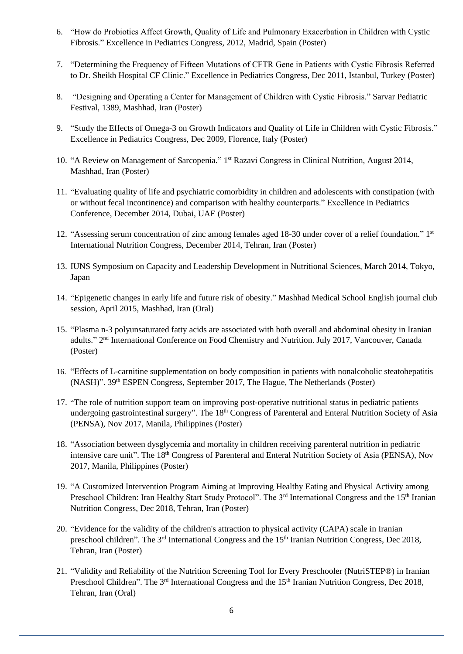- 6. "How do Probiotics Affect Growth, Quality of Life and Pulmonary Exacerbation in Children with Cystic Fibrosis." Excellence in Pediatrics Congress, 2012, Madrid, Spain (Poster)
- 7. "Determining the Frequency of Fifteen Mutations of CFTR Gene in Patients with Cystic Fibrosis Referred to Dr. Sheikh Hospital CF Clinic." Excellence in Pediatrics Congress, Dec 2011, Istanbul, Turkey (Poster)
- 8. "Designing and Operating a Center for Management of Children with Cystic Fibrosis." Sarvar Pediatric Festival, 1389, Mashhad, Iran (Poster)
- 9. "Study the Effects of Omega-3 on Growth Indicators and Quality of Life in Children with Cystic Fibrosis." Excellence in Pediatrics Congress, Dec 2009, Florence, Italy (Poster)
- 10. "A Review on Management of Sarcopenia." 1<sup>st</sup> Razavi Congress in Clinical Nutrition, August 2014, Mashhad, Iran (Poster)
- 11. "Evaluating quality of life and psychiatric comorbidity in children and adolescents with constipation (with or without fecal incontinence) and comparison with healthy counterparts." Excellence in Pediatrics Conference, December 2014, Dubai, UAE (Poster)
- 12. "Assessing serum concentration of zinc among females aged 18-30 under cover of a relief foundation." 1st International Nutrition Congress, December 2014, Tehran, Iran (Poster)
- 13. IUNS Symposium on Capacity and Leadership Development in Nutritional Sciences, March 2014, Tokyo, Japan
- 14. "Epigenetic changes in early life and future risk of obesity." Mashhad Medical School English journal club session, April 2015, Mashhad, Iran (Oral)
- 15. "Plasma n-3 polyunsaturated fatty acids are associated with both overall and abdominal obesity in Iranian adults." 2<sup>nd</sup> International Conference on Food Chemistry and Nutrition. July 2017, Vancouver, Canada (Poster)
- 16. "Effects of L-carnitine supplementation on body composition in patients with nonalcoholic steatohepatitis (NASH)". 39th ESPEN Congress, September 2017, The Hague, The Netherlands (Poster)
- 17. "The role of nutrition support team on improving post-operative nutritional status in pediatric patients undergoing gastrointestinal surgery". The 18<sup>th</sup> Congress of Parenteral and Enteral Nutrition Society of Asia (PENSA), Nov 2017, Manila, Philippines (Poster)
- 18. "Association between dysglycemia and mortality in children receiving parenteral nutrition in pediatric intensive care unit". The 18<sup>th</sup> Congress of Parenteral and Enteral Nutrition Society of Asia (PENSA), Nov 2017, Manila, Philippines (Poster)
- 19. "A Customized Intervention Program Aiming at Improving Healthy Eating and Physical Activity among Preschool Children: Iran Healthy Start Study Protocol". The 3<sup>rd</sup> International Congress and the 15<sup>th</sup> Iranian Nutrition Congress, Dec 2018, Tehran, Iran (Poster)
- 20. "Evidence for the validity of the children's attraction to physical activity (CAPA) scale in Iranian preschool children". The 3<sup>rd</sup> International Congress and the 15<sup>th</sup> Iranian Nutrition Congress, Dec 2018, Tehran, Iran (Poster)
- 21. "Validity and Reliability of the Nutrition Screening Tool for Every Preschooler (NutriSTEP®) in Iranian Preschool Children". The 3<sup>rd</sup> International Congress and the 15<sup>th</sup> Iranian Nutrition Congress, Dec 2018, Tehran, Iran (Oral)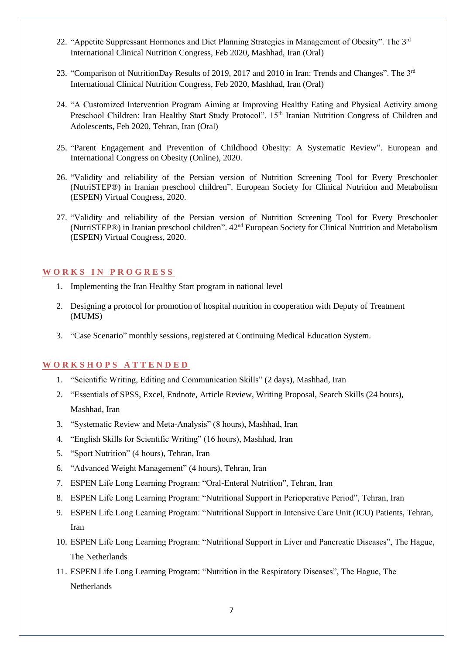- 22. "Appetite Suppressant Hormones and Diet Planning Strategies in Management of Obesity". The 3rd International Clinical Nutrition Congress, Feb 2020, Mashhad, Iran (Oral)
- 23. "Comparison of NutritionDay Results of 2019, 2017 and 2010 in Iran: Trends and Changes". The 3rd International Clinical Nutrition Congress, Feb 2020, Mashhad, Iran (Oral)
- 24. "A Customized Intervention Program Aiming at Improving Healthy Eating and Physical Activity among Preschool Children: Iran Healthy Start Study Protocol". 15<sup>th</sup> Iranian Nutrition Congress of Children and Adolescents, Feb 2020, Tehran, Iran (Oral)
- 25. "Parent Engagement and Prevention of Childhood Obesity: A Systematic Review". European and International Congress on Obesity (Online), 2020.
- 26. "Validity and reliability of the Persian version of Nutrition Screening Tool for Every Preschooler (NutriSTEP®) in Iranian preschool children". European Society for Clinical Nutrition and Metabolism (ESPEN) Virtual Congress, 2020.
- 27. "Validity and reliability of the Persian version of Nutrition Screening Tool for Every Preschooler (NutriSTEP®) in Iranian preschool children". 42nd European Society for Clinical Nutrition and Metabolism (ESPEN) Virtual Congress, 2020.

#### **W O R K S I N P R O G R E S S**

- 1. Implementing the Iran Healthy Start program in national level
- 2. Designing a protocol for promotion of hospital nutrition in cooperation with Deputy of Treatment (MUMS)
- 3. "Case Scenario" monthly sessions, registered at Continuing Medical Education System.

#### **W O R K S H O P S A T T E N D E D**

- 1. "Scientific Writing, Editing and Communication Skills" (2 days), Mashhad, Iran
- 2. "Essentials of SPSS, Excel, Endnote, Article Review, Writing Proposal, Search Skills (24 hours), Mashhad, Iran
- 3. "Systematic Review and Meta-Analysis" (8 hours), Mashhad, Iran
- 4. "English Skills for Scientific Writing" (16 hours), Mashhad, Iran
- 5. "Sport Nutrition" (4 hours), Tehran, Iran
- 6. "Advanced Weight Management" (4 hours), Tehran, Iran
- 7. ESPEN Life Long Learning Program: "Oral-Enteral Nutrition", Tehran, Iran
- 8. ESPEN Life Long Learning Program: "Nutritional Support in Perioperative Period", Tehran, Iran
- 9. ESPEN Life Long Learning Program: "Nutritional Support in Intensive Care Unit (ICU) Patients, Tehran, Iran
- 10. ESPEN Life Long Learning Program: "Nutritional Support in Liver and Pancreatic Diseases", The Hague, The Netherlands
- 11. ESPEN Life Long Learning Program: "Nutrition in the Respiratory Diseases", The Hague, The Netherlands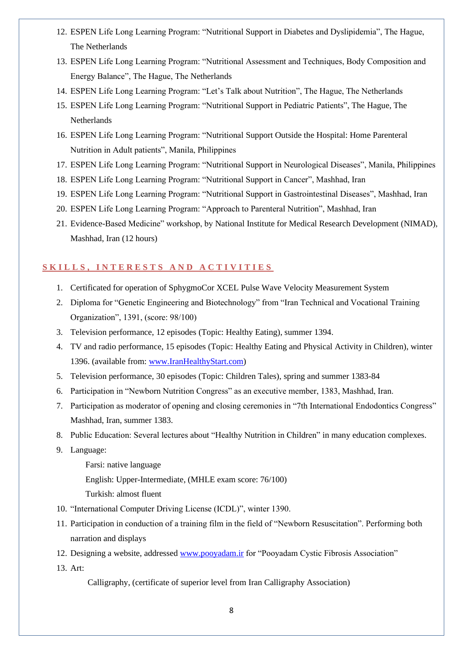- 12. ESPEN Life Long Learning Program: "Nutritional Support in Diabetes and Dyslipidemia", The Hague, The Netherlands
- 13. ESPEN Life Long Learning Program: "Nutritional Assessment and Techniques, Body Composition and Energy Balance", The Hague, The Netherlands
- 14. ESPEN Life Long Learning Program: "Let's Talk about Nutrition", The Hague, The Netherlands
- 15. ESPEN Life Long Learning Program: "Nutritional Support in Pediatric Patients", The Hague, The Netherlands
- 16. ESPEN Life Long Learning Program: "Nutritional Support Outside the Hospital: Home Parenteral Nutrition in Adult patients", Manila, Philippines
- 17. ESPEN Life Long Learning Program: "Nutritional Support in Neurological Diseases", Manila, Philippines
- 18. ESPEN Life Long Learning Program: "Nutritional Support in Cancer", Mashhad, Iran
- 19. ESPEN Life Long Learning Program: "Nutritional Support in Gastrointestinal Diseases", Mashhad, Iran
- 20. ESPEN Life Long Learning Program: "Approach to Parenteral Nutrition", Mashhad, Iran
- 21. Evidence-Based Medicine" workshop, by National Institute for Medical Research Development (NIMAD), Mashhad, Iran (12 hours)

### SKILLS, INTERESTS AND ACTIVITIES

- 1. Certificated for operation of SphygmoCor XCEL Pulse Wave Velocity Measurement System
- 2. Diploma for "Genetic Engineering and Biotechnology" from "Iran Technical and Vocational Training Organization", 1391, (score: 98/100)
- 3. Television performance, 12 episodes (Topic: Healthy Eating), summer 1394.
- 4. TV and radio performance, 15 episodes (Topic: Healthy Eating and Physical Activity in Children), winter 1396. (available from: [www.IranHealthyStart.com\)](http://www.iranhealthystart.com/)
- 5. Television performance, 30 episodes (Topic: Children Tales), spring and summer 1383-84
- 6. Participation in "Newborn Nutrition Congress" as an executive member, 1383, Mashhad, Iran.
- 7. Participation as moderator of opening and closing ceremonies in "7th International Endodontics Congress" Mashhad, Iran, summer 1383.
- 8. Public Education: Several lectures about "Healthy Nutrition in Children" in many education complexes.
- 9. Language:
	- Farsi: native language
	- English: Upper-Intermediate, (MHLE exam score: 76/100)
	- Turkish: almost fluent
- 10. "International Computer Driving License (ICDL)", winter 1390.
- 11. Participation in conduction of a training film in the field of "Newborn Resuscitation". Performing both narration and displays
- 12. Designing a website, addressed [www.pooyadam.ir](http://www.pooyadam.ir/) for "Pooyadam Cystic Fibrosis Association"
- 13. Art:

Calligraphy, (certificate of superior level from Iran Calligraphy Association)